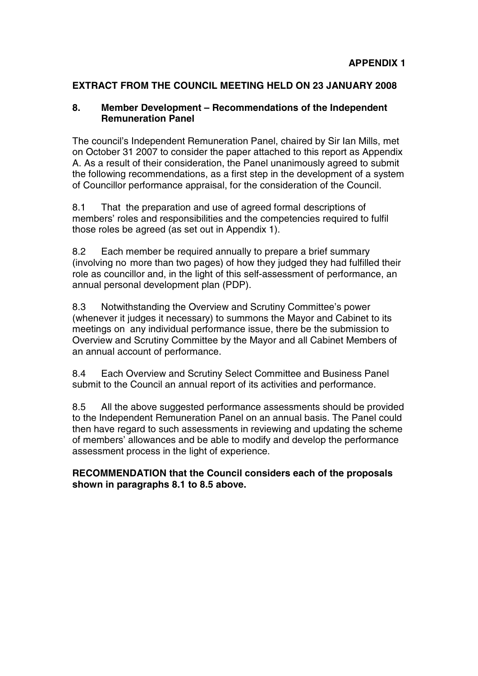# **EXTRACT FROM THE COUNCIL MEETING HELD ON 23 JANUARY 2008**

# **8. Member Development – Recommendations of the Independent Remuneration Panel**

The council's Independent Remuneration Panel, chaired by Sir Ian Mills, met on October 31 2007 to consider the paper attached to this report as Appendix A. As a result of their consideration, the Panel unanimously agreed to submit the following recommendations, as a first step in the development of a system of Councillor performance appraisal, for the consideration of the Council.

8.1 That the preparation and use of agreed formal descriptions of members' roles and responsibilities and the competencies required to fulfil those roles be agreed (as set out in Appendix 1).

8.2 Each member be required annually to prepare a brief summary (involving no more than two pages) of how they judged they had fulfilled their role as councillor and, in the light of this self-assessment of performance, an annual personal development plan (PDP).

8.3 Notwithstanding the Overview and Scrutiny Committee's power (whenever it judges it necessary) to summons the Mayor and Cabinet to its meetings on any individual performance issue, there be the submission to Overview and Scrutiny Committee by the Mayor and all Cabinet Members of an annual account of performance.

8.4 Each Overview and Scrutiny Select Committee and Business Panel submit to the Council an annual report of its activities and performance.

8.5 All the above suggested performance assessments should be provided to the Independent Remuneration Panel on an annual basis. The Panel could then have regard to such assessments in reviewing and updating the scheme of members' allowances and be able to modify and develop the performance assessment process in the light of experience.

# **RECOMMENDATION that the Council considers each of the proposals shown in paragraphs 8.1 to 8.5 above.**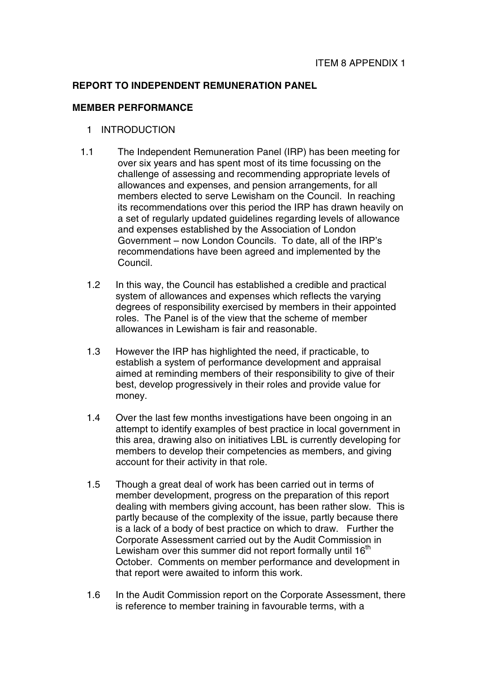### **REPORT TO INDEPENDENT REMUNERATION PANEL**

#### **MEMBER PERFORMANCE**

- 1 INTRODUCTION
- 1.1 The Independent Remuneration Panel (IRP) has been meeting for over six years and has spent most of its time focussing on the challenge of assessing and recommending appropriate levels of allowances and expenses, and pension arrangements, for all members elected to serve Lewisham on the Council. In reaching its recommendations over this period the IRP has drawn heavily on a set of regularly updated guidelines regarding levels of allowance and expenses established by the Association of London Government – now London Councils. To date, all of the IRP's recommendations have been agreed and implemented by the Council.
	- 1.2 In this way, the Council has established a credible and practical system of allowances and expenses which reflects the varying degrees of responsibility exercised by members in their appointed roles. The Panel is of the view that the scheme of member allowances in Lewisham is fair and reasonable.
	- 1.3 However the IRP has highlighted the need, if practicable, to establish a system of performance development and appraisal aimed at reminding members of their responsibility to give of their best, develop progressively in their roles and provide value for money.
	- 1.4 Over the last few months investigations have been ongoing in an attempt to identify examples of best practice in local government in this area, drawing also on initiatives LBL is currently developing for members to develop their competencies as members, and giving account for their activity in that role.
	- 1.5 Though a great deal of work has been carried out in terms of member development, progress on the preparation of this report dealing with members giving account, has been rather slow. This is partly because of the complexity of the issue, partly because there is a lack of a body of best practice on which to draw. Further the Corporate Assessment carried out by the Audit Commission in Lewisham over this summer did not report formally until  $16<sup>th</sup>$ October. Comments on member performance and development in that report were awaited to inform this work.
	- 1.6 In the Audit Commission report on the Corporate Assessment, there is reference to member training in favourable terms, with a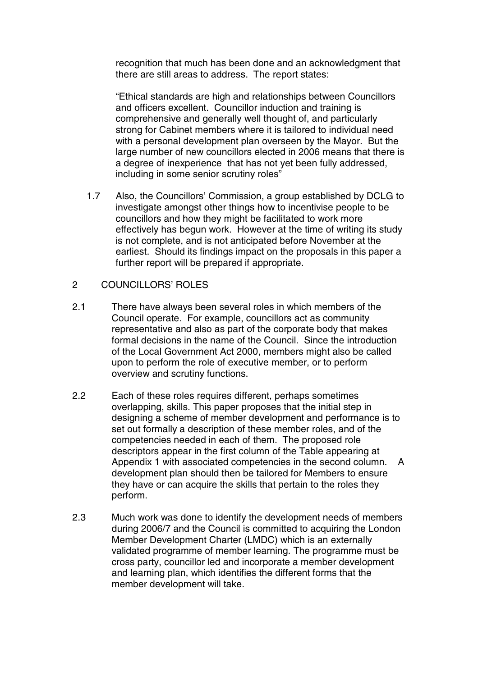recognition that much has been done and an acknowledgment that there are still areas to address. The report states:

"Ethical standards are high and relationships between Councillors and officers excellent. Councillor induction and training is comprehensive and generally well thought of, and particularly strong for Cabinet members where it is tailored to individual need with a personal development plan overseen by the Mayor. But the large number of new councillors elected in 2006 means that there is a degree of inexperience that has not yet been fully addressed, including in some senior scrutiny roles"

- 1.7 Also, the Councillors' Commission, a group established by DCLG to investigate amongst other things how to incentivise people to be councillors and how they might be facilitated to work more effectively has begun work. However at the time of writing its study is not complete, and is not anticipated before November at the earliest. Should its findings impact on the proposals in this paper a further report will be prepared if appropriate.
- 2 COUNCILLORS' ROLES
- 2.1 There have always been several roles in which members of the Council operate. For example, councillors act as community representative and also as part of the corporate body that makes formal decisions in the name of the Council. Since the introduction of the Local Government Act 2000, members might also be called upon to perform the role of executive member, or to perform overview and scrutiny functions.
- 2.2 Each of these roles requires different, perhaps sometimes overlapping, skills. This paper proposes that the initial step in designing a scheme of member development and performance is to set out formally a description of these member roles, and of the competencies needed in each of them. The proposed role descriptors appear in the first column of the Table appearing at Appendix 1 with associated competencies in the second column. A development plan should then be tailored for Members to ensure they have or can acquire the skills that pertain to the roles they perform.
- 2.3 Much work was done to identify the development needs of members during 2006/7 and the Council is committed to acquiring the London Member Development Charter (LMDC) which is an externally validated programme of member learning. The programme must be cross party, councillor led and incorporate a member development and learning plan, which identifies the different forms that the member development will take.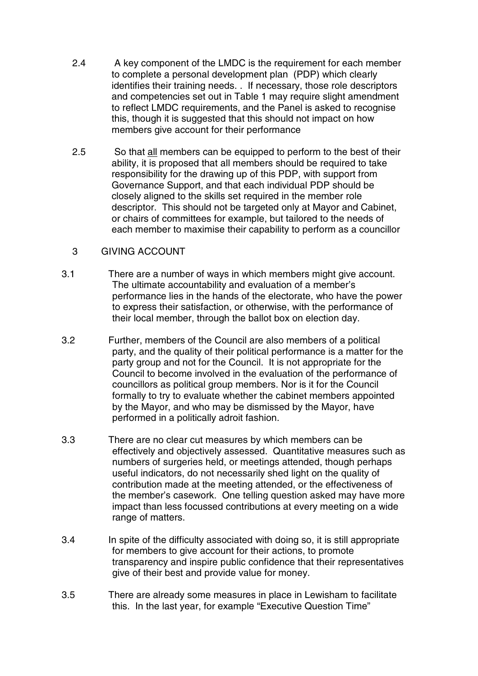- 2.4 A key component of the LMDC is the requirement for each member to complete a personal development plan (PDP) which clearly identifies their training needs. . If necessary, those role descriptors and competencies set out in Table 1 may require slight amendment to reflect LMDC requirements, and the Panel is asked to recognise this, though it is suggested that this should not impact on how members give account for their performance
- 2.5 So that all members can be equipped to perform to the best of their ability, it is proposed that all members should be required to take responsibility for the drawing up of this PDP, with support from Governance Support, and that each individual PDP should be closely aligned to the skills set required in the member role descriptor. This should not be targeted only at Mayor and Cabinet, or chairs of committees for example, but tailored to the needs of each member to maximise their capability to perform as a councillor

# 3 GIVING ACCOUNT

- 3.1 There are a number of ways in which members might give account. The ultimate accountability and evaluation of a member's performance lies in the hands of the electorate, who have the power to express their satisfaction, or otherwise, with the performance of their local member, through the ballot box on election day.
- 3.2 Further, members of the Council are also members of a political party, and the quality of their political performance is a matter for the party group and not for the Council. It is not appropriate for the Council to become involved in the evaluation of the performance of councillors as political group members. Nor is it for the Council formally to try to evaluate whether the cabinet members appointed by the Mayor, and who may be dismissed by the Mayor, have performed in a politically adroit fashion.
- 3.3 There are no clear cut measures by which members can be effectively and objectively assessed. Quantitative measures such as numbers of surgeries held, or meetings attended, though perhaps useful indicators, do not necessarily shed light on the quality of contribution made at the meeting attended, or the effectiveness of the member's casework. One telling question asked may have more impact than less focussed contributions at every meeting on a wide range of matters.
- 3.4 In spite of the difficulty associated with doing so, it is still appropriate for members to give account for their actions, to promote transparency and inspire public confidence that their representatives give of their best and provide value for money.
- 3.5 There are already some measures in place in Lewisham to facilitate this. In the last year, for example "Executive Question Time"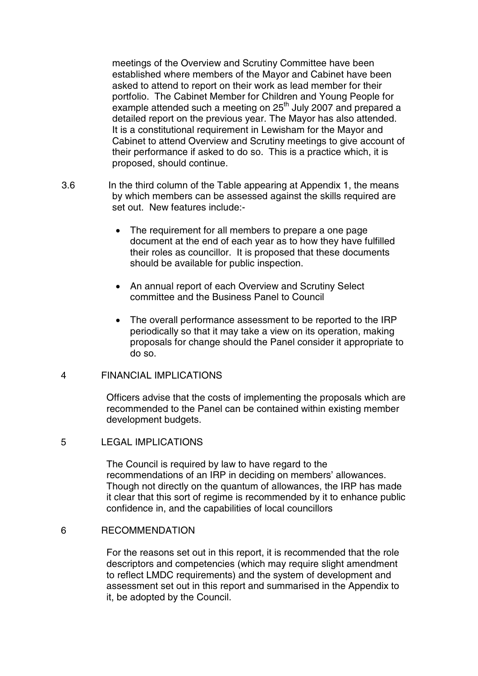meetings of the Overview and Scrutiny Committee have been established where members of the Mayor and Cabinet have been asked to attend to report on their work as lead member for their portfolio. The Cabinet Member for Children and Young People for example attended such a meeting on 25<sup>th</sup> July 2007 and prepared a detailed report on the previous year. The Mayor has also attended. It is a constitutional requirement in Lewisham for the Mayor and Cabinet to attend Overview and Scrutiny meetings to give account of their performance if asked to do so. This is a practice which, it is proposed, should continue.

- 3.6 In the third column of the Table appearing at Appendix 1, the means by which members can be assessed against the skills required are set out. New features include:-
	- The requirement for all members to prepare a one page document at the end of each year as to how they have fulfilled their roles as councillor. It is proposed that these documents should be available for public inspection.
	- An annual report of each Overview and Scrutiny Select committee and the Business Panel to Council
	- The overall performance assessment to be reported to the IRP periodically so that it may take a view on its operation, making proposals for change should the Panel consider it appropriate to do so.

#### 4 FINANCIAL IMPLICATIONS

Officers advise that the costs of implementing the proposals which are recommended to the Panel can be contained within existing member development budgets.

### 5 LEGAL IMPLICATIONS

The Council is required by law to have regard to the recommendations of an IRP in deciding on members' allowances. Though not directly on the quantum of allowances, the IRP has made it clear that this sort of regime is recommended by it to enhance public confidence in, and the capabilities of local councillors

### 6 RECOMMENDATION

For the reasons set out in this report, it is recommended that the role descriptors and competencies (which may require slight amendment to reflect LMDC requirements) and the system of development and assessment set out in this report and summarised in the Appendix to it, be adopted by the Council.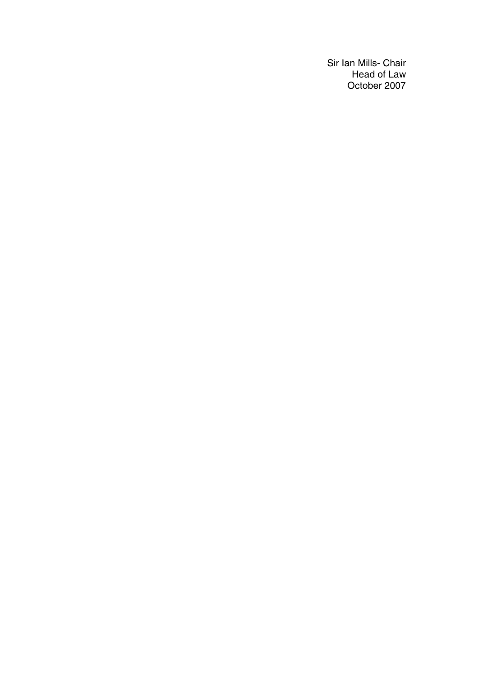Sir Ian Mills- Chair Head of Law October 2007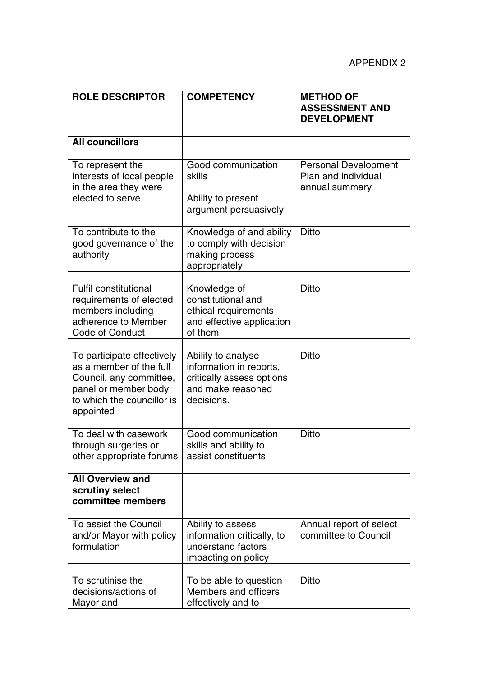| <b>ROLE DESCRIPTOR</b>                                                                                                                              | <b>COMPETENCY</b>                                                                                             | <b>METHOD OF</b><br><b>ASSESSMENT AND</b><br><b>DEVELOPMENT</b>      |
|-----------------------------------------------------------------------------------------------------------------------------------------------------|---------------------------------------------------------------------------------------------------------------|----------------------------------------------------------------------|
|                                                                                                                                                     |                                                                                                               |                                                                      |
| <b>All councillors</b>                                                                                                                              |                                                                                                               |                                                                      |
| To represent the<br>interests of local people<br>in the area they were<br>elected to serve                                                          | Good communication<br>skills<br>Ability to present<br>argument persuasively                                   | <b>Personal Development</b><br>Plan and individual<br>annual summary |
| To contribute to the<br>good governance of the<br>authority                                                                                         | Knowledge of and ability<br>to comply with decision<br>making process<br>appropriately                        | <b>Ditto</b>                                                         |
| <b>Fulfil constitutional</b><br>requirements of elected<br>members including<br>adherence to Member<br><b>Code of Conduct</b>                       | Knowledge of<br>constitutional and<br>ethical requirements<br>and effective application<br>of them            | <b>Ditto</b>                                                         |
| To participate effectively<br>as a member of the full<br>Council, any committee,<br>panel or member body<br>to which the councillor is<br>appointed | Ability to analyse<br>information in reports,<br>critically assess options<br>and make reasoned<br>decisions. | <b>Ditto</b>                                                         |
| To deal with casework<br>through surgeries or<br>other appropriate forums                                                                           | Good communication<br>skills and ability to<br>assist constituents                                            | <b>Ditto</b>                                                         |
| <b>All Overview and</b><br>scrutiny select<br>committee members                                                                                     |                                                                                                               |                                                                      |
| To assist the Council<br>and/or Mayor with policy<br>formulation                                                                                    | Ability to assess<br>information critically, to<br>understand factors<br>impacting on policy                  | Annual report of select<br>committee to Council                      |
| To scrutinise the<br>decisions/actions of<br>Mayor and                                                                                              | To be able to question<br>Members and officers<br>effectively and to                                          | <b>Ditto</b>                                                         |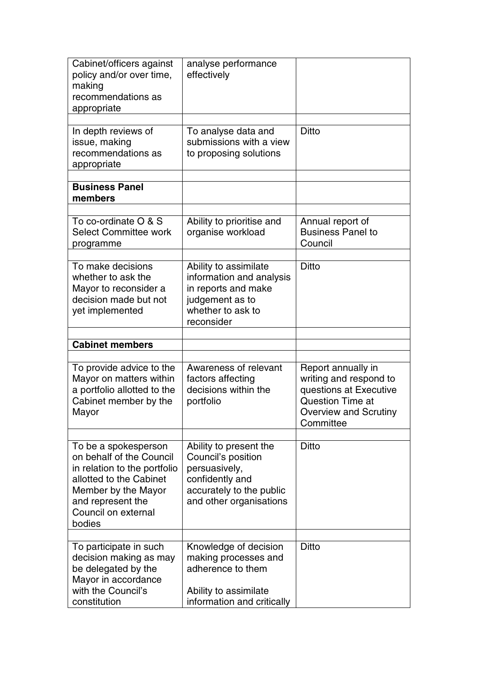| Cabinet/officers against<br>policy and/or over time,<br>making<br>recommendations as<br>appropriate                                                                                      | analyse performance<br>effectively                                                                                                      |                                                                                                                                                |
|------------------------------------------------------------------------------------------------------------------------------------------------------------------------------------------|-----------------------------------------------------------------------------------------------------------------------------------------|------------------------------------------------------------------------------------------------------------------------------------------------|
| In depth reviews of<br>issue, making<br>recommendations as<br>appropriate                                                                                                                | To analyse data and<br>submissions with a view<br>to proposing solutions                                                                | <b>Ditto</b>                                                                                                                                   |
| <b>Business Panel</b><br>members                                                                                                                                                         |                                                                                                                                         |                                                                                                                                                |
| To co-ordinate O & S<br><b>Select Committee work</b><br>programme                                                                                                                        | Ability to prioritise and<br>organise workload                                                                                          | Annual report of<br><b>Business Panel to</b><br>Council                                                                                        |
| To make decisions<br>whether to ask the<br>Mayor to reconsider a<br>decision made but not<br>yet implemented                                                                             | Ability to assimilate<br>information and analysis<br>in reports and make<br>judgement as to<br>whether to ask to<br>reconsider          | <b>Ditto</b>                                                                                                                                   |
| <b>Cabinet members</b>                                                                                                                                                                   |                                                                                                                                         |                                                                                                                                                |
| To provide advice to the<br>Mayor on matters within<br>a portfolio allotted to the<br>Cabinet member by the<br>Mayor                                                                     | Awareness of relevant<br>factors affecting<br>decisions within the<br>portfolio                                                         | Report annually in<br>writing and respond to<br>questions at Executive<br><b>Question Time at</b><br><b>Overview and Scrutiny</b><br>Committee |
| To be a spokesperson<br>on behalf of the Council<br>in relation to the portfolio<br>allotted to the Cabinet<br>Member by the Mayor<br>and represent the<br>Council on external<br>bodies | Ability to present the<br>Council's position<br>persuasively,<br>confidently and<br>accurately to the public<br>and other organisations | <b>Ditto</b>                                                                                                                                   |
| To participate in such<br>decision making as may<br>be delegated by the<br>Mayor in accordance<br>with the Council's<br>constitution                                                     | Knowledge of decision<br>making processes and<br>adherence to them<br>Ability to assimilate<br>information and critically               | <b>Ditto</b>                                                                                                                                   |